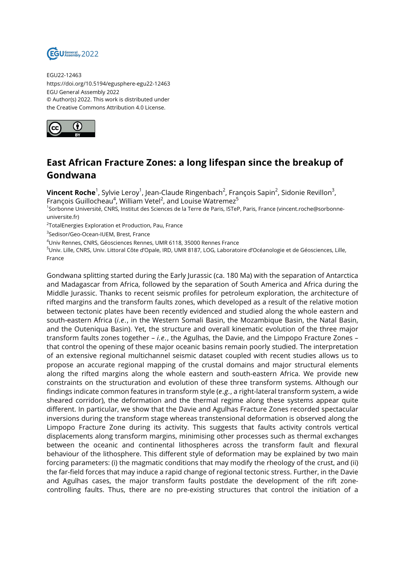

EGU22-12463 https://doi.org/10.5194/egusphere-egu22-12463 EGU General Assembly 2022 © Author(s) 2022. This work is distributed under the Creative Commons Attribution 4.0 License.



## **East African Fracture Zones: a long lifespan since the breakup of Gondwana**

**Vincent Roche**<sup>1</sup>, Sylvie Leroy<sup>1</sup>, Jean-Claude Ringenbach<sup>2</sup>, François Sapin<sup>2</sup>, Sidonie Revillon<sup>3</sup>, François Guillocheau $^4$ , William Vetel $^2$ , and Louise Watremez $^5$ 

1 Sorbonne Université, CNRS, Institut des Sciences de la Terre de Paris, ISTeP, Paris, France (vincent.roche@sorbonneuniversite.fr)

 $^{2}$ TotalEnergies Exploration et Production, Pau, France

3 Sedisor/Geo-Ocean-IUEM, Brest, France

<sup>4</sup>Univ Rennes, CNRS, Géosciences Rennes, UMR 6118, 35000 Rennes France

<sup>5</sup>Univ. Lille, CNRS, Univ. Littoral Côte d'Opale, IRD, UMR 8187, LOG, Laboratoire d'Océanologie et de Géosciences, Lille, France

Gondwana splitting started during the Early Jurassic (ca. 180 Ma) with the separation of Antarctica and Madagascar from Africa, followed by the separation of South America and Africa during the Middle Jurassic. Thanks to recent seismic profiles for petroleum exploration, the architecture of rifted margins and the transform faults zones, which developed as a result of the relative motion between tectonic plates have been recently evidenced and studied along the whole eastern and south-eastern Africa (*i.e.*, in the Western Somali Basin, the Mozambique Basin, the Natal Basin, and the Outeniqua Basin). Yet, the structure and overall kinematic evolution of the three major transform faults zones together – *i.e.*, the Agulhas, the Davie, and the Limpopo Fracture Zones – that control the opening of these major oceanic basins remain poorly studied. The interpretation of an extensive regional multichannel seismic dataset coupled with recent studies allows us to propose an accurate regional mapping of the crustal domains and major structural elements along the rifted margins along the whole eastern and south-eastern Africa. We provide new constraints on the structuration and evolution of these three transform systems. Although our findings indicate common features in transform style (*e.g.*, a right-lateral transform system, a wide sheared corridor), the deformation and the thermal regime along these systems appear quite different. In particular, we show that the Davie and Agulhas Fracture Zones recorded spectacular inversions during the transform stage whereas transtensional deformation is observed along the Limpopo Fracture Zone during its activity. This suggests that faults activity controls vertical displacements along transform margins, minimising other processes such as thermal exchanges between the oceanic and continental lithospheres across the transform fault and flexural behaviour of the lithosphere. This different style of deformation may be explained by two main forcing parameters: (i) the magmatic conditions that may modify the rheology of the crust, and (ii) the far-field forces that may induce a rapid change of regional tectonic stress. Further, in the Davie and Agulhas cases, the major transform faults postdate the development of the rift zonecontrolling faults. Thus, there are no pre-existing structures that control the initiation of a